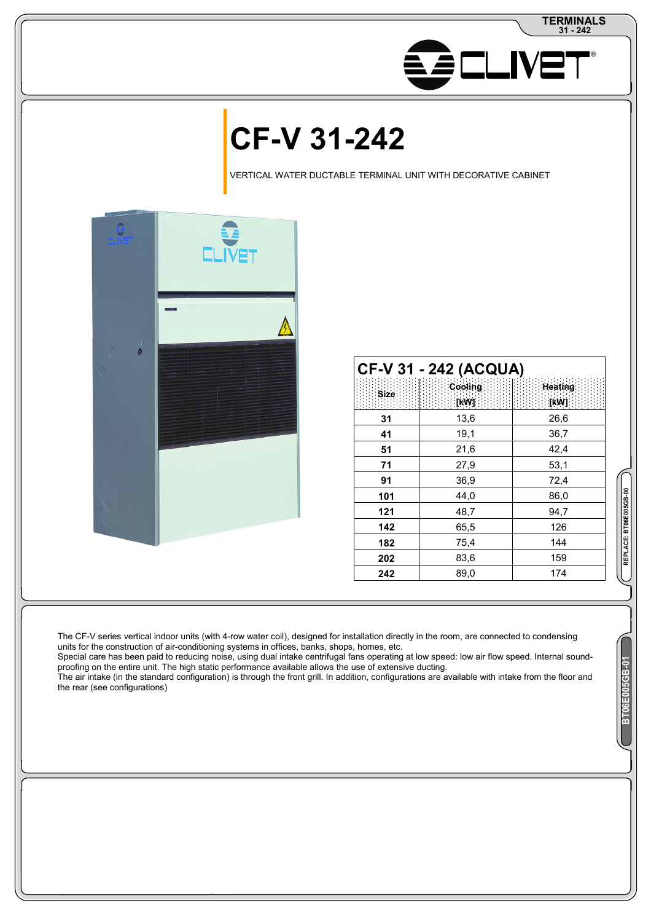

# **CF-V 31-242**

VERTICAL WATER DUCTABLE TERMINAL UNIT WITH DECORATIVE CABINET



|             | <b>CF-V 31 - 242 (ACQUA)</b> |                  |
|-------------|------------------------------|------------------|
| <b>Size</b> | Cooling:<br>[kW]             | Heating:<br>[kW] |
| 31          | 13,6                         | 26,6             |
| 41          | 19,1                         | 36,7             |
| 51          | 21,6                         | 42,4             |
| 71          | 27,9                         | 53,1             |
| 91          | 36,9                         | 72,4             |
| 101         | 44,0                         | 86,0             |
| 121         | 48,7                         | 94,7             |
| 142         | 65,5                         | 126              |
| 182         | 75,4                         | 144              |
| 202         | 83,6                         | 159              |
| 242         | 89,0                         | 174              |

The CF-V series vertical indoor units (with 4-row water coil), designed for installation directly in the room, are connected to condensing units for the construction of air-conditioning systems in offices, banks, shops, homes, etc.

Special care has been paid to reducing noise, using dual intake centrifugal fans operating at low speed: low air flow speed. Internal soundproofing on the entire unit. The high static performance available allows the use of extensive ducting.

The air intake (in the standard configuration) is through the front grill. In addition, configurations are available with intake from the floor and the rear (see configurations)

REPLACE: BT06E005GB-00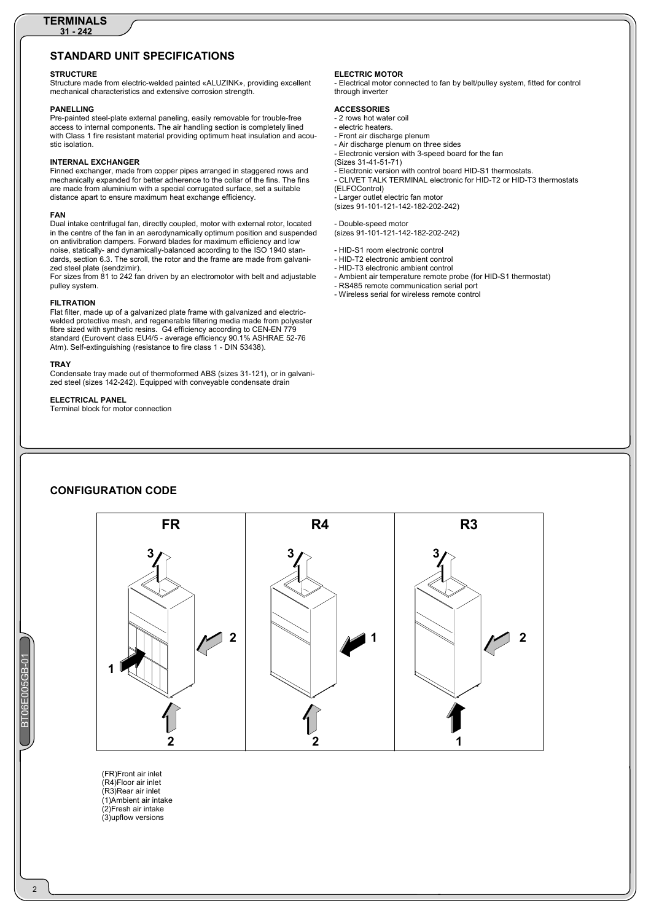## **STANDARD UNIT SPECIFICATIONS**

#### **STRUCTURE**

Structure made from electric-welded painted «ALUZINK», providing excellent mechanical characteristics and extensive corrosion strength.

#### **PANELLING**

Pre-painted steel-plate external paneling, easily removable for trouble-free access to internal components. The air handling section is completely lined with Class 1 fire resistant material providing optimum heat insulation and acoustic isolation.

#### **INTERNAL EXCHANGER**

Finned exchanger, made from copper pipes arranged in staggered rows and mechanically expanded for better adherence to the collar of the fins. The fins are made from aluminium with a special corrugated surface, set a suitable distance apart to ensure maximum heat exchange efficiency.

#### **FAN**

Dual intake centrifugal fan, directly coupled, motor with external rotor, located in the centre of the fan in an aerodynamically optimum position and suspended on antivibration dampers. Forward blades for maximum efficiency and low noise, statically- and dynamically-balanced according to the ISO 1940 standards, section 6.3. The scroll, the rotor and the frame are made from galvanized steel plate (sendzimir).

For sizes from 81 to 242 fan driven by an electromotor with belt and adjustable pulley system.

#### **FILTRATION**

Flat filter, made up of a galvanized plate frame with galvanized and electricwelded protective mesh, and regenerable filtering media made from polyester fibre sized with synthetic resins. G4 efficiency according to CEN-EN 779 standard (Eurovent class EU4/5 - average efficiency 90.1% ASHRAE 52-76 Atm). Self-extinguishing (resistance to fire class 1 - DIN 53438).

#### **TRAY**

Condensate tray made out of thermoformed ABS (sizes 31-121), or in galvanized steel (sizes 142-242). Equipped with conveyable condensate drain

#### **ELECTRICAL PANEL**

Terminal block for motor connection

#### **ELECTRIC MOTOR**

- Electrical motor connected to fan by belt/pulley system, fitted for control through inverter

#### **ACCESSORIES**

- 2 rows hot water coil
- electric heaters.
- Front air discharge plenum
- Air discharge plenum on three sides - Electronic version with 3-speed board for the fan
- (Sizes 31-41-51-71)

- Electronic version with control board HID-S1 thermostats. - CLIVET TALK TERMINAL electronic for HID-T2 or HID-T3 thermostats (ELFOControl)

.<br>- Larger outlet electric fan motor (sizes 91-101-121-142-182-202-242)

#### - Double-speed motor (sizes 91-101-121-142-182-202-242)

- HID-S1 room electronic control - HID-T2 electronic ambient control
- HID-T3 electronic ambient control
- Ambient air temperature remote probe (for HID-S1 thermostat)
- RS485 remote communication serial port
- Wireless serial for wireless remote control

## **CONFIGURATION CODE**



(FR)Front air inlet (R4)Floor air inlet (R3)Rear air inlet (1)Ambient air intake (2)Fresh air intake (3)upflow versions

 $\overline{2}$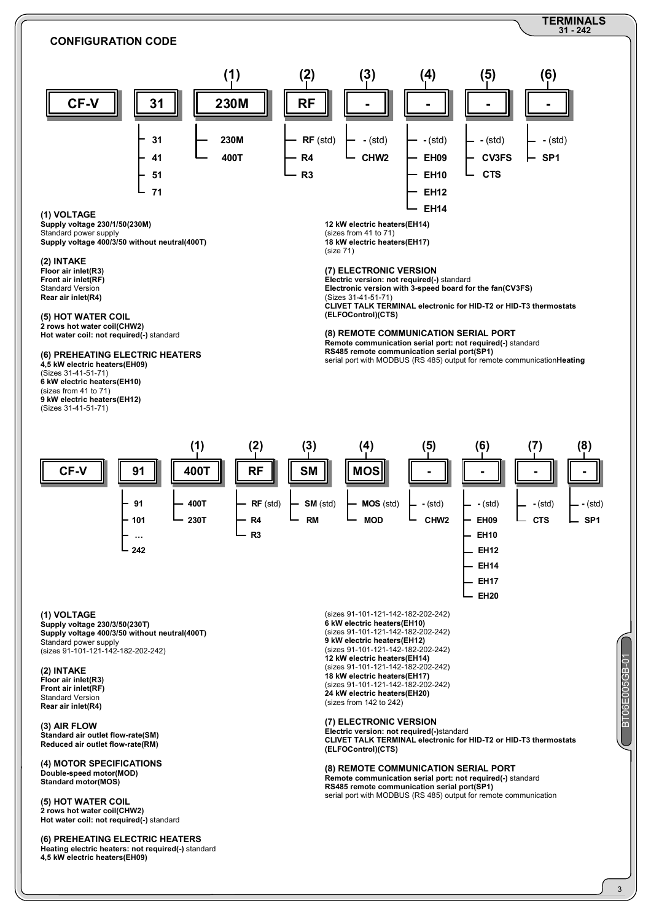

**(6) PREHEATING ELECTRIC HEATERS Heating electric heaters: not required(-)** standard **4,5 kW electric heaters(EH09)**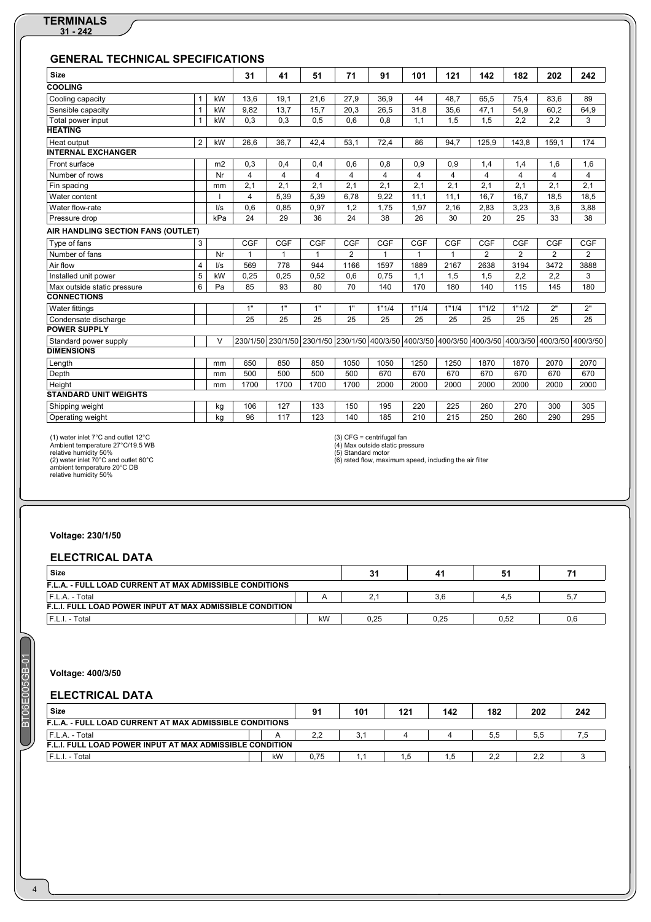| <b>Size</b>                        |                |                | 31             | 41           | 51             | 71         | 91           | 101                                                                              | 121            | 142            | 182            | 202               | 242            |
|------------------------------------|----------------|----------------|----------------|--------------|----------------|------------|--------------|----------------------------------------------------------------------------------|----------------|----------------|----------------|-------------------|----------------|
| <b>COOLING</b>                     |                |                |                |              |                |            |              |                                                                                  |                |                |                |                   |                |
| Cooling capacity                   | $\mathbf{1}$   | kW             | 13,6           | 19,1         | 21.6           | 27,9       | 36.9         | 44                                                                               | 48.7           | 65.5           | 75,4           | 83.6              | 89             |
| Sensible capacity                  | $\mathbf 1$    | kW             | 9,82           | 13,7         | 15,7           | 20.3       | 26.5         | 31.8                                                                             | 35,6           | 47,1           | 54,9           | 60,2              | 64,9           |
| Total power input                  |                | kW             | 0.3            | 0.3          | 0.5            | 0.6        | 0.8          | 1.1                                                                              | 1,5            | 1,5            | 2.2            | 2.2               | 3              |
| <b>HEATING</b>                     |                |                |                |              |                |            |              |                                                                                  |                |                |                |                   |                |
| Heat output                        | $\overline{2}$ | kW             | 26.6           | 36.7         | 42.4           | 53.1       | 72,4         | 86                                                                               | 94.7           | 125.9          | 143.8          | 159.1             | 174            |
| <b>INTERNAL EXCHANGER</b>          |                |                |                |              |                |            |              |                                                                                  |                |                |                |                   |                |
| Front surface                      |                | m <sub>2</sub> | 0,3            | 0,4          | 0,4            | 0,6        | 0.8          | 0,9                                                                              | 0,9            | 1,4            | 1,4            | 1,6               | 1,6            |
| Number of rows                     |                | Nr             | $\overline{4}$ | 4            | $\overline{4}$ | 4          | 4            | 4                                                                                | $\overline{4}$ | 4              | 4              | $\overline{4}$    | $\overline{4}$ |
| Fin spacing                        |                | mm             | 2,1            | 2.1          | 2,1            | 2,1        | 2.1          | 2.1                                                                              | 2,1            | 2,1            | 2.1            | 2,1               | 2.1            |
| Water content                      |                |                | 4              | 5.39         | 5,39           | 6.78       | 9.22         | 11.1                                                                             | 11.1           | 16.7           | 16.7           | 18.5              | 18.5           |
| Water flow-rate                    |                | I/S            | 0.6            | 0,85         | 0,97           | 1,2        | 1.75         | 1,97                                                                             | 2,16           | 2,83           | 3.23           | 3.6               | 3,88           |
| Pressure drop                      |                | kPa            | 24             | 29           | 36             | 24         | 38           | 26                                                                               | 30             | 20             | 25             | 33                | 38             |
| AIR HANDLING SECTION FANS (OUTLET) |                |                |                |              |                |            |              |                                                                                  |                |                |                |                   |                |
| Type of fans                       | 3              |                | <b>CGF</b>     | CGF          | <b>CGF</b>     | <b>CGF</b> | <b>CGF</b>   | <b>CGF</b>                                                                       | <b>CGF</b>     | <b>CGF</b>     | <b>CGF</b>     | <b>CGF</b>        | <b>CGF</b>     |
| Number of fans                     |                | Nr             | $\mathbf{1}$   | $\mathbf{1}$ | $\mathbf{1}$   | 2          | $\mathbf{1}$ | 1                                                                                | 1              | $\overline{2}$ | $\overline{2}$ | $\overline{2}$    | $\overline{2}$ |
| Air flow                           | 4              | $\sqrt{s}$     | 569            | 778          | 944            | 1166       | 1597         | 1889                                                                             | 2167           | 2638           | 3194           | 3472              | 3888           |
| Installed unit power               | 5              | kW             | 0,25           | 0.25         | 0,52           | 0.6        | 0.75         | 1.1                                                                              | 1,5            | 1,5            | 2.2            | 2.2               | 3              |
| Max outside static pressure        | 6              | Pa             | 85             | 93           | 80             | 70         | 140          | 170                                                                              | 180            | 140            | 115            | 145               | 180            |
| <b>CONNECTIONS</b>                 |                |                |                |              |                |            |              |                                                                                  |                |                |                |                   |                |
| Water fittings                     |                |                | 1"             | 1"           | 1"             | 1"         | 1"1/4        | 1"1/4                                                                            | 1"1/4          | 1"1/2          | 1"1/2          | 2"                | 2"             |
| Condensate discharge               |                |                | 25             | 25           | 25             | 25         | 25           | 25                                                                               | 25             | 25             | 25             | 25                | 25             |
| <b>POWER SUPPLY</b>                |                |                |                |              |                |            |              |                                                                                  |                |                |                |                   |                |
| Standard power supply              |                | $\vee$         |                |              |                |            |              | 230/1/50 230/1/50 230/1/50 230/1/50 400/3/50 400/3/50 400/3/50 400/3/50 400/3/50 |                |                |                | 400/3/50 400/3/50 |                |
| <b>DIMENSIONS</b>                  |                |                |                |              |                |            |              |                                                                                  |                |                |                |                   |                |
| Length                             |                | mm             | 650            | 850          | 850            | 1050       | 1050         | 1250                                                                             | 1250           | 1870           | 1870           | 2070              | 2070           |
| Depth                              |                | mm             | 500            | 500          | 500            | 500        | 670          | 670                                                                              | 670            | 670            | 670            | 670               | 670            |
| Height                             |                | mm             | 1700           | 1700         | 1700           | 1700       | 2000         | 2000                                                                             | 2000           | 2000           | 2000           | 2000              | 2000           |
| <b>STANDARD UNIT WEIGHTS</b>       |                |                |                |              |                |            |              |                                                                                  |                |                |                |                   |                |
| Shipping weight                    |                | kg             | 106            | 127          | 133            | 150        | 195          | 220                                                                              | 225            | 260            | 270            | 300               | 305            |
| Operating weight                   |                | kg             | 96             | 117          | 123            | 140        | 185          | 210                                                                              | 215            | 250            | 260            | 290               | 295            |

(1) water inlet 7°C and outlet 12°C<br>Ambient temperature 27°C/19.5 WB<br>relative humidity 50%<br>(2) water inlet 70°C and outlet 60°C<br>ambient temperature 20°C DB<br>relative humidity 50%

(3) CFG = centrifugal fan<br>(4) Max outside static pressure<br>(5) Standard motor<br>(6) rated flow, maximum speed, including the air filter

#### **Voltage: 230/1/50**

## **ELECTRICAL DATA**

| <b>Size</b>                                                     |    | 31   | 41   |      |     |
|-----------------------------------------------------------------|----|------|------|------|-----|
| F.L.A. - FULL LOAD CURRENT AT MAX ADMISSIBLE CONDITIONS         |    |      |      |      |     |
| F.L.A. - Total                                                  | A  |      | 3.6  | 4.5  | 5.7 |
| <b>F.L.I. FULL LOAD POWER INPUT AT MAX ADMISSIBLE CONDITION</b> |    |      |      |      |     |
| " F.L.I. - .<br>Total                                           | kW | 0,25 | 0.25 | 0.52 | 0.6 |

**Voltage: 400/3/50**

## **ELECTRICAL DATA**

| <b>Size</b>                                                     |    | 91   | 101 | 121 | 142   | 182 | 202       | 242 |
|-----------------------------------------------------------------|----|------|-----|-----|-------|-----|-----------|-----|
| <b>F.L.A. - FULL LOAD CURRENT AT MAX ADMISSIBLE CONDITIONS</b>  |    |      |     |     |       |     |           |     |
| F.L.A. - Total                                                  |    | 2.2  | 3.1 |     |       | 5.5 | 5.5       | ن.  |
| <b>F.L.I. FULL LOAD POWER INPUT AT MAX ADMISSIBLE CONDITION</b> |    |      |     |     |       |     |           |     |
| . - Total<br>F.L.I.                                             | kW | 0.75 |     | .5  | . . 5 | 2,2 | っっ<br>ے ک |     |

BT06E005GB-01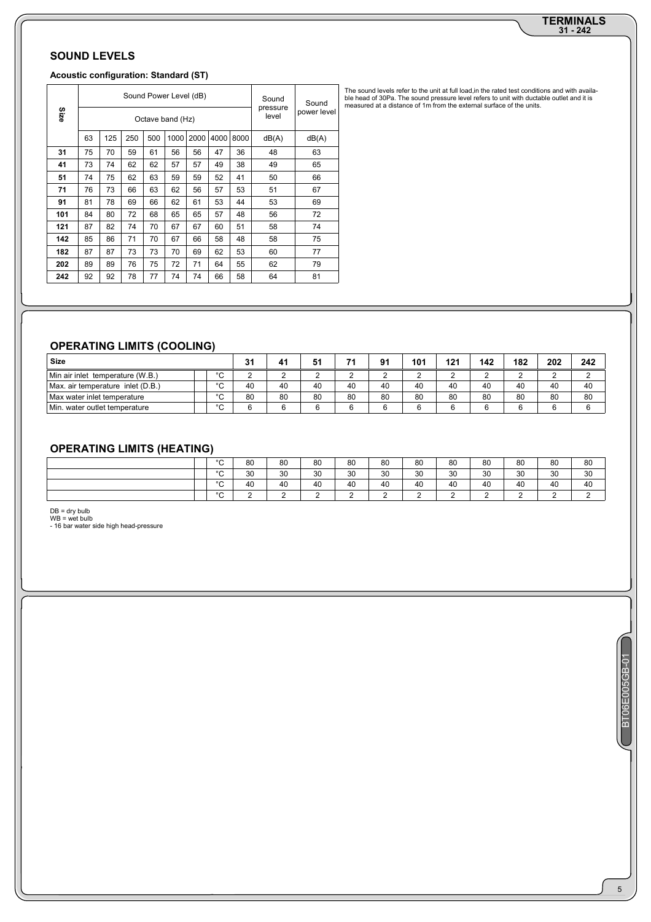# **31 - 242 TERMINALS**

## **SOUND LEVELS**

#### **Acoustic configuration: Standard (ST)**

| Size |    |     |     |     | Sound Power Level (dB)<br>Octave band (Hz) |      |      |      | Sound<br>pressure<br>level | Sound<br>power level |
|------|----|-----|-----|-----|--------------------------------------------|------|------|------|----------------------------|----------------------|
|      | 63 | 125 | 250 | 500 | 1000                                       | 2000 | 4000 | 8000 | dB(A)                      | dB(A)                |
| 31   | 75 | 70  | 59  | 61  | 56                                         | 56   | 47   | 36   | 48                         | 63                   |
| 41   | 73 | 74  | 62  | 62  | 57                                         | 57   | 49   | 38   | 49                         | 65                   |
| 51   | 74 | 75  | 62  | 63  | 59                                         | 59   | 52   | 41   | 50                         | 66                   |
| 71   | 76 | 73  | 66  | 63  | 62                                         | 56   | 57   | 53   | 51                         | 67                   |
| 91   | 81 | 78  | 69  | 66  | 62                                         | 61   | 53   | 44   | 53                         | 69                   |
| 101  | 84 | 80  | 72  | 68  | 65                                         | 65   | 57   | 48   | 56                         | 72                   |
| 121  | 87 | 82  | 74  | 70  | 67                                         | 67   | 60   | 51   | 58                         | 74                   |
| 142  | 85 | 86  | 71  | 70  | 67                                         | 66   | 58   | 48   | 58                         | 75                   |
| 182  | 87 | 87  | 73  | 73  | 70                                         | 69   | 62   | 53   | 60                         | 77                   |
| 202  | 89 | 89  | 76  | 75  | 72                                         | 71   | 64   | 55   | 62                         | 79                   |
| 242  | 92 | 92  | 78  | 77  | 74                                         | 74   | 66   | 58   | 64                         | 81                   |

**OPERATING LIMITS (COOLING)**

| <b>Size</b>                       |              | 31 | 41 | 51 | 74     | $^{\circ}$ | 101    | 121             | 142 | 182           | 202         | 242    |
|-----------------------------------|--------------|----|----|----|--------|------------|--------|-----------------|-----|---------------|-------------|--------|
| Min air inlet temperature (W.B.)  | $\circ$<br>ີ |    |    |    |        |            | $\sim$ | $\sqrt{2}$<br>- |     | ⌒<br><u>.</u> | $\sim$<br>- | $\sim$ |
| Max. air temperature inlet (D.B.) | $\circ$<br>u | 40 | 40 | 40 | 40     | 40         | 40     | 40              | 40  | 40            | 40          | 40     |
| Max water inlet temperature       | $\circ$<br>ີ | 80 | 80 | 80 | 80     | 80         | 80     | 80              | 80  | 80            | 80          | 80     |
| Min. water outlet temperature     | $\sim$<br>ີ  |    |    | c  | $\sim$ |            | c      | G               |     | c             | G           | ⌒      |

## **OPERATING LIMITS (HEATING)**

| $\circ$<br>U | 80 | 80 | 80 | 80 | 80 | 80 | 80 | 80 | 80 | 80 | 80 |
|--------------|----|----|----|----|----|----|----|----|----|----|----|
| $\circ$<br>ີ | 30 | 30 | 30 | 30 | 30 | 30 | 30 | 30 | 30 | 30 | 30 |
| $\circ$<br>U | 40 | 40 | 40 | 40 | 40 | 40 | 40 | 40 | 40 | 40 | 40 |
| $\circ$<br>ີ |    |    |    |    |    |    |    |    |    |    |    |

DB = dry bulb<br>WB = wet bulb<br>- 16 bar water side high head-pressure

The sound levels refer to the unit at full load,in the rated test conditions and with availa-<br>ble head of 30Pa. The sound pressure level refers to unit with ductable outlet and it is<br>measured at a distance of 1m from the e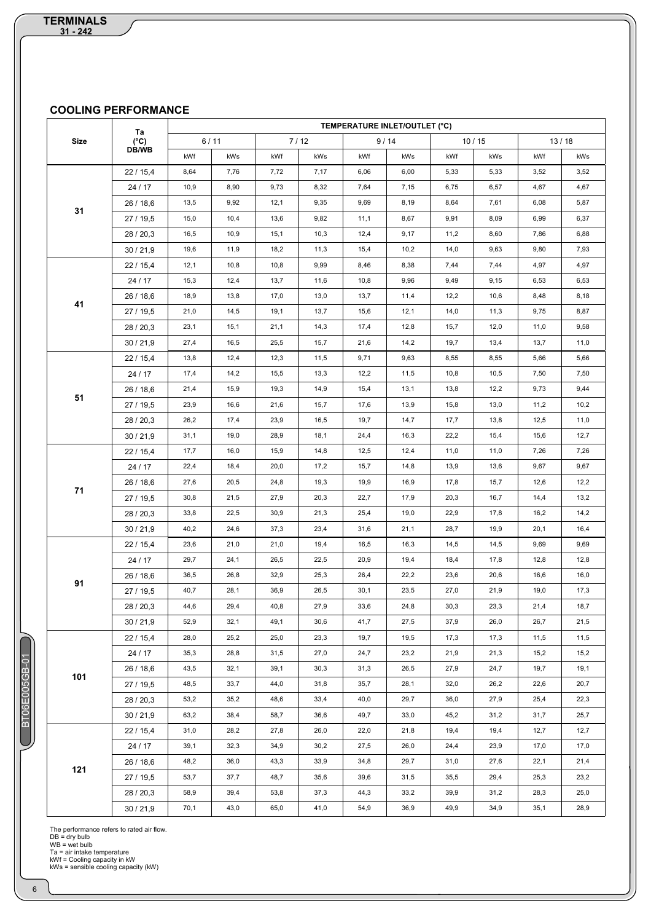## **COOLING PERFORMANCE**

|      |                     | TEMPERATURE INLET/OUTLET (°C) |        |      |        |      |      |      |       |      |       |
|------|---------------------|-------------------------------|--------|------|--------|------|------|------|-------|------|-------|
| Size | Ta<br>$(^{\circ}C)$ |                               | $6/11$ |      | $7/12$ |      | 9/14 |      | 10/15 |      | 13/18 |
|      | DB/WB               | kWf                           | kWs    | kWf  | kWs    | kWf  | kWs  | kWf  | kWs   | kWf  | kWs   |
|      | 22/15,4             | 8,64                          | 7,76   | 7,72 | 7,17   | 6,06 | 6,00 | 5,33 | 5,33  | 3,52 | 3,52  |
|      | 24 / 17             | 10,9                          | 8,90   | 9,73 | 8,32   | 7,64 | 7,15 | 6,75 | 6,57  | 4,67 | 4,67  |
|      | 26 / 18,6           | 13,5                          | 9,92   | 12,1 | 9,35   | 9,69 | 8,19 | 8,64 | 7,61  | 6,08 | 5,87  |
| 31   | 27 / 19,5           | 15,0                          | 10,4   | 13,6 | 9,82   | 11,1 | 8,67 | 9,91 | 8,09  | 6,99 | 6,37  |
|      | 28/20,3             | 16,5                          | 10,9   | 15,1 | 10,3   | 12,4 | 9,17 | 11,2 | 8,60  | 7,86 | 6,88  |
|      | 30/21,9             | 19,6                          | 11,9   | 18,2 | 11,3   | 15,4 | 10,2 | 14,0 | 9,63  | 9,80 | 7,93  |
|      | 22/15,4             | 12,1                          | 10,8   | 10,8 | 9,99   | 8,46 | 8,38 | 7,44 | 7,44  | 4,97 | 4,97  |
|      | 24 / 17             | 15,3                          | 12,4   | 13,7 | 11,6   | 10,8 | 9,96 | 9,49 | 9,15  | 6,53 | 6,53  |
|      | 26/18,6             | 18,9                          | 13,8   | 17,0 | 13,0   | 13,7 | 11,4 | 12,2 | 10,6  | 8,48 | 8,18  |
| 41   | 27/19,5             | 21,0                          | 14,5   | 19,1 | 13,7   | 15,6 | 12,1 | 14,0 | 11,3  | 9,75 | 8,87  |
|      | 28/20,3             | 23,1                          | 15,1   | 21,1 | 14,3   | 17,4 | 12,8 | 15,7 | 12,0  | 11,0 | 9,58  |
|      | 30/21,9             | 27,4                          | 16,5   | 25,5 | 15,7   | 21,6 | 14,2 | 19,7 | 13,4  | 13,7 | 11,0  |
|      | 22/15,4             | 13,8                          | 12,4   | 12,3 | 11,5   | 9,71 | 9,63 | 8,55 | 8,55  | 5,66 | 5,66  |
|      | 24 / 17             | 17,4                          | 14,2   | 15,5 | 13,3   | 12,2 | 11,5 | 10,8 | 10,5  | 7,50 | 7,50  |
|      | 26/18,6             | 21,4                          | 15,9   | 19,3 | 14,9   | 15,4 | 13,1 | 13,8 | 12,2  | 9,73 | 9,44  |
| 51   | 27 / 19,5           | 23,9                          | 16,6   | 21,6 | 15,7   | 17,6 | 13,9 | 15,8 | 13,0  | 11,2 | 10,2  |
|      | 28/20,3             | 26,2                          | 17,4   | 23,9 | 16,5   | 19,7 | 14,7 | 17,7 | 13,8  | 12,5 | 11,0  |
|      | 30/21,9             | 31,1                          | 19,0   | 28,9 | 18,1   | 24,4 | 16,3 | 22,2 | 15,4  | 15,6 | 12,7  |
|      | 22/15,4             | 17,7                          | 16,0   | 15,9 | 14,8   | 12,5 | 12,4 | 11,0 | 11,0  | 7,26 | 7,26  |
|      | 24 / 17             | 22,4                          | 18,4   | 20,0 | 17,2   | 15,7 | 14,8 | 13,9 | 13,6  | 9,67 | 9,67  |
|      | 26/18,6             | 27,6                          | 20,5   | 24,8 | 19,3   | 19,9 | 16,9 | 17,8 | 15,7  | 12,6 | 12,2  |
| 71   | 27 / 19,5           | 30,8                          | 21,5   | 27,9 | 20,3   | 22,7 | 17,9 | 20,3 | 16,7  | 14,4 | 13,2  |
|      | 28/20,3             | 33,8                          | 22,5   | 30,9 | 21,3   | 25,4 | 19,0 | 22,9 | 17,8  | 16,2 | 14,2  |
|      | 30/21,9             | 40,2                          | 24,6   | 37,3 | 23,4   | 31,6 | 21,1 | 28,7 | 19,9  | 20,1 | 16,4  |
|      | 22/15,4             | 23,6                          | 21,0   | 21,0 | 19,4   | 16,5 | 16,3 | 14,5 | 14,5  | 9,69 | 9,69  |
|      | 24 / 17             | 29,7                          | 24,1   | 26,5 | 22,5   | 20,9 | 19,4 | 18,4 | 17,8  | 12,8 | 12,8  |
|      | 26 / 18,6           | 36,5                          | 26,8   | 32,9 | 25,3   | 26,4 | 22,2 | 23,6 | 20,6  | 16,6 | 16,0  |
| 91   | 27 / 19,5           | 40,7                          | 28,1   | 36,9 | 26,5   | 30,1 | 23,5 | 27,0 | 21,9  | 19,0 | 17,3  |
|      | 28 / 20,3           | 44,6                          | 29,4   | 40,8 | 27,9   | 33,6 | 24,8 | 30,3 | 23,3  | 21,4 | 18,7  |
|      | 30/21,9             | 52,9                          | 32,1   | 49,1 | 30,6   | 41,7 | 27,5 | 37,9 | 26,0  | 26,7 | 21,5  |
|      | 22/15,4             | 28,0                          | 25,2   | 25,0 | 23,3   | 19,7 | 19,5 | 17,3 | 17,3  | 11,5 | 11,5  |
|      | 24 / 17             | 35,3                          | 28,8   | 31,5 | 27,0   | 24,7 | 23,2 | 21,9 | 21,3  | 15,2 | 15,2  |
| 101  | 26/18,6             | 43,5                          | 32,1   | 39,1 | 30,3   | 31,3 | 26,5 | 27,9 | 24,7  | 19,7 | 19,1  |
|      | 27 / 19,5           | 48,5                          | 33,7   | 44,0 | 31,8   | 35,7 | 28,1 | 32,0 | 26,2  | 22,6 | 20,7  |
|      | 28/20,3             | 53,2                          | 35,2   | 48,6 | 33,4   | 40,0 | 29,7 | 36,0 | 27,9  | 25,4 | 22,3  |
|      | 30/21,9             | 63,2                          | 38,4   | 58,7 | 36,6   | 49,7 | 33,0 | 45,2 | 31,2  | 31,7 | 25,7  |
|      | 22/15,4             | 31,0                          | 28,2   | 27,8 | 26,0   | 22,0 | 21,8 | 19,4 | 19,4  | 12,7 | 12,7  |
|      | 24 / 17             | 39,1                          | 32,3   | 34,9 | 30,2   | 27,5 | 26,0 | 24,4 | 23,9  | 17,0 | 17,0  |
| 121  | 26/18,6             | 48,2                          | 36,0   | 43,3 | 33,9   | 34,8 | 29,7 | 31,0 | 27,6  | 22,1 | 21,4  |
|      | 27 / 19,5           | 53,7                          | 37,7   | 48,7 | 35,6   | 39,6 | 31,5 | 35,5 | 29,4  | 25,3 | 23,2  |
|      | 28/20,3             | 58,9                          | 39,4   | 53,8 | 37,3   | 44,3 | 33,2 | 39,9 | 31,2  | 28,3 | 25,0  |
|      | 30/21,9             | 70,1                          | 43,0   | 65,0 | 41,0   | 54,9 | 36,9 | 49,9 | 34,9  | 35,1 | 28,9  |

The performance refers to rated air flow.<br>DB = dry bulb<br>WB = wet bulb<br>Ta = air intake temperature<br>kWf = Cooling capacity in kW<br>kWs = sensible cooling capacity (kW)

BT06E005GB-01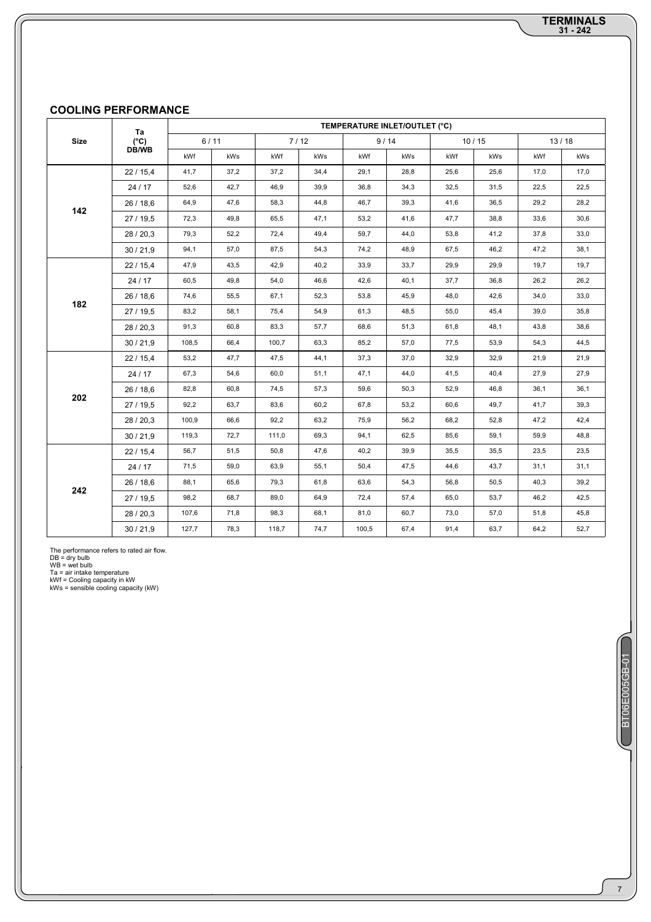## **COOLING PERFORMANCE**

|             | Ta                     |       |        |       |      |       | TEMPERATURE INLET/OUTLET (°C) |      |       |       |      |
|-------------|------------------------|-------|--------|-------|------|-------|-------------------------------|------|-------|-------|------|
| <b>Size</b> | $(^{\circ}C)$<br>DB/WB |       | $6/11$ |       | 7/12 |       | 9/14                          |      | 10/15 | 13/18 |      |
|             |                        | kWf   | kWs    | kWf   | kWs  | kWf   | kWs                           | kWf  | kWs   | kWf   | kWs  |
|             | 22/15,4                | 41,7  | 37,2   | 37,2  | 34,4 | 29,1  | 28,8                          | 25,6 | 25,6  | 17,0  | 17,0 |
|             | 24 / 17                | 52,6  | 42,7   | 46,9  | 39,9 | 36,8  | 34,3                          | 32,5 | 31,5  | 22,5  | 22,5 |
| 142         | 26/18,6                | 64,9  | 47,6   | 58,3  | 44,8 | 46,7  | 39,3                          | 41,6 | 36,5  | 29,2  | 28,2 |
|             | 27 / 19,5              | 72,3  | 49,8   | 65,5  | 47,1 | 53,2  | 41,6                          | 47,7 | 38,8  | 33,6  | 30,6 |
|             | 28/20,3                | 79,3  | 52,2   | 72,4  | 49,4 | 59,7  | 44,0                          | 53,8 | 41,2  | 37,8  | 33,0 |
|             | 30/21,9                | 94,1  | 57,0   | 87,5  | 54,3 | 74,2  | 48,9                          | 67,5 | 46,2  | 47,2  | 38,1 |
|             | 22/15,4                | 47,9  | 43,5   | 42,9  | 40,2 | 33,9  | 33,7                          | 29,9 | 29,9  | 19,7  | 19,7 |
|             | 24 / 17                | 60,5  | 49,8   | 54,0  | 46,6 | 42,6  | 40,1                          | 37,7 | 36,8  | 26,2  | 26,2 |
| 182         | 26/18,6                | 74,6  | 55,5   | 67,1  | 52,3 | 53,8  | 45,9                          | 48,0 | 42,6  | 34,0  | 33,0 |
|             | 27 / 19,5              | 83,2  | 58,1   | 75,4  | 54,9 | 61,3  | 48,5                          | 55,0 | 45,4  | 39,0  | 35,8 |
|             | 28 / 20,3              | 91,3  | 60,8   | 83,3  | 57,7 | 68,6  | 51,3                          | 61,8 | 48,1  | 43,8  | 38,6 |
|             | 30/21,9                | 108,5 | 66,4   | 100,7 | 63,3 | 85,2  | 57,0                          | 77,5 | 53,9  | 54,3  | 44,5 |
|             | 22/15,4                | 53,2  | 47,7   | 47,5  | 44,1 | 37,3  | 37,0                          | 32,9 | 32,9  | 21,9  | 21,9 |
|             | 24 / 17                | 67,3  | 54,6   | 60,0  | 51,1 | 47,1  | 44,0                          | 41,5 | 40,4  | 27,9  | 27,9 |
| 202         | 26/18,6                | 82,8  | 60,8   | 74,5  | 57,3 | 59,6  | 50,3                          | 52,9 | 46,8  | 36,1  | 36,1 |
|             | 27 / 19,5              | 92,2  | 63,7   | 83,6  | 60,2 | 67,8  | 53,2                          | 60,6 | 49,7  | 41,7  | 39,3 |
|             | 28/20,3                | 100,9 | 66,6   | 92,2  | 63,2 | 75,9  | 56,2                          | 68,2 | 52,8  | 47,2  | 42,4 |
|             | 30/21,9                | 119,3 | 72,7   | 111,0 | 69,3 | 94,1  | 62,5                          | 85,6 | 59,1  | 59,9  | 48,8 |
|             | 22/15,4                | 56,7  | 51,5   | 50,8  | 47,6 | 40,2  | 39,9                          | 35,5 | 35,5  | 23,5  | 23,5 |
|             | 24 / 17                | 71,5  | 59,0   | 63,9  | 55,1 | 50,4  | 47,5                          | 44,6 | 43,7  | 31,1  | 31,1 |
| 242         | 26/18,6                | 88,1  | 65,6   | 79,3  | 61,8 | 63,6  | 54,3                          | 56,8 | 50,5  | 40,3  | 39,2 |
|             | 27/19,5                | 98,2  | 68,7   | 89,0  | 64,9 | 72,4  | 57,4                          | 65,0 | 53,7  | 46,2  | 42,5 |
|             | 28/20,3                | 107,6 | 71,8   | 98,3  | 68,1 | 81,0  | 60,7                          | 73,0 | 57,0  | 51,8  | 45,8 |
|             | 30/21,9                | 127,7 | 78,3   | 118,7 | 74,7 | 100,5 | 67,4                          | 91,4 | 63,7  | 64,2  | 52,7 |

The performance refers to rated air flow.<br>DB = dry bulb<br>WB = wet bulb<br>Ta = air intake temperature<br>kWf = Cooling capacity in kW<br>kWs = sensible cooling capacity (kW)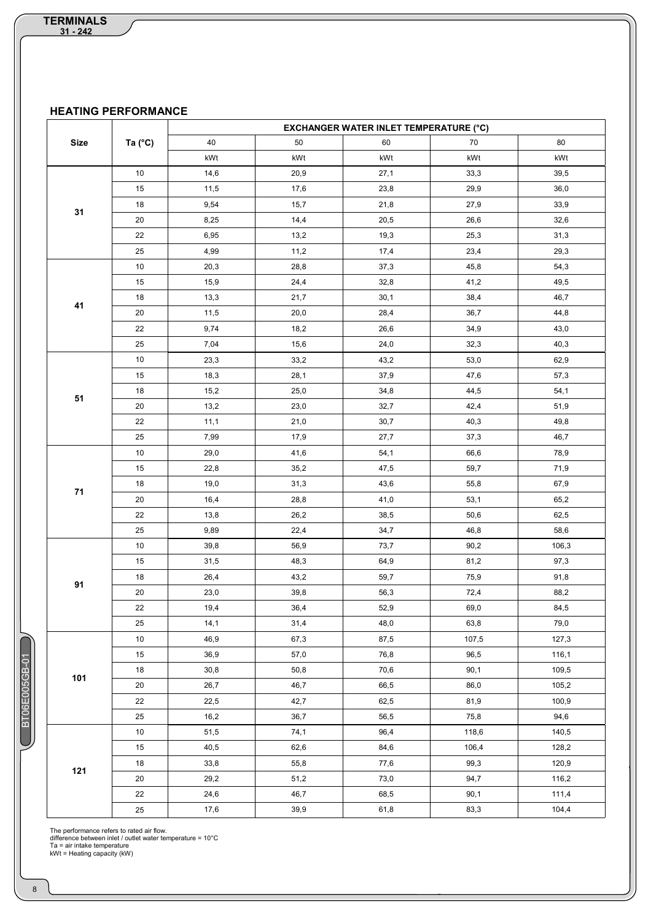**HEATING PERFORMANCE**

|             |                  |      |      | <b>EXCHANGER WATER INLET TEMPERATURE (°C)</b> |       |       |
|-------------|------------------|------|------|-----------------------------------------------|-------|-------|
| <b>Size</b> | Ta $(^{\circ}C)$ | 40   | 50   | 60                                            | 70    | 80    |
|             |                  | kWt  | kWt  | kWt                                           | kWt   | kWt   |
|             | 10               | 14,6 | 20,9 | 27,1                                          | 33,3  | 39,5  |
|             | 15               | 11,5 | 17,6 | 23,8                                          | 29,9  | 36,0  |
|             | 18               | 9,54 | 15,7 | 21,8                                          | 27,9  | 33,9  |
| 31          | 20               | 8,25 | 14,4 | 20,5                                          | 26,6  | 32,6  |
|             | 22               | 6,95 | 13,2 | 19,3                                          | 25,3  | 31,3  |
|             | 25               | 4,99 | 11,2 | 17,4                                          | 23,4  | 29,3  |
|             | 10               | 20,3 | 28,8 | 37,3                                          | 45,8  | 54,3  |
|             | 15               | 15,9 | 24,4 | 32,8                                          | 41,2  | 49,5  |
|             | 18               | 13,3 | 21,7 | 30,1                                          | 38,4  | 46,7  |
| 41          | 20               | 11,5 | 20,0 | 28,4                                          | 36,7  | 44,8  |
|             | 22               | 9,74 | 18,2 | 26,6                                          | 34,9  | 43,0  |
|             | 25               | 7,04 | 15,6 | 24,0                                          | 32,3  | 40,3  |
|             | 10               | 23,3 | 33,2 | 43,2                                          | 53,0  | 62,9  |
|             | 15               | 18,3 | 28,1 | 37,9                                          | 47,6  | 57,3  |
|             | 18               | 15,2 | 25,0 | 34,8                                          | 44,5  | 54,1  |
| 51          | 20               | 13,2 | 23,0 | 32,7                                          | 42,4  | 51,9  |
|             | 22               | 11,1 | 21,0 | 30,7                                          | 40,3  | 49,8  |
|             | 25               | 7,99 | 17,9 | 27,7                                          | 37,3  | 46,7  |
|             | 10               | 29,0 | 41,6 | 54,1                                          | 66,6  | 78,9  |
|             | 15               | 22,8 | 35,2 | 47,5                                          | 59,7  | 71,9  |
|             | 18               | 19,0 | 31,3 | 43,6                                          | 55,8  | 67,9  |
| 71          | 20               | 16,4 | 28,8 | 41,0                                          | 53,1  | 65,2  |
|             | 22               | 13,8 | 26,2 | 38,5                                          | 50,6  | 62,5  |
|             | 25               | 9,89 | 22,4 | 34,7                                          | 46,8  | 58,6  |
|             | 10               | 39,8 | 56,9 | 73,7                                          | 90,2  | 106,3 |
|             | 15               | 31,5 | 48,3 | 64,9                                          | 81,2  | 97,3  |
| 91          | 18               | 26,4 | 43,2 | 59,7                                          | 75,9  | 91,8  |
|             | 20               | 23,0 | 39,8 | 56,3                                          | 72,4  | 88,2  |
|             | 22               | 19,4 | 36,4 | 52,9                                          | 69,0  | 84,5  |
|             | 25               | 14,1 | 31,4 | 48,0                                          | 63,8  | 79,0  |
|             | 10               | 46,9 | 67,3 | 87,5                                          | 107,5 | 127,3 |
|             | 15               | 36,9 | 57,0 | 76,8                                          | 96,5  | 116,1 |
| 101         | 18               | 30,8 | 50,8 | 70,6                                          | 90,1  | 109,5 |
|             | 20               | 26,7 | 46,7 | 66,5                                          | 86,0  | 105,2 |
|             | 22               | 22,5 | 42,7 | 62,5                                          | 81,9  | 100,9 |
|             | 25               | 16,2 | 36,7 | 56,5                                          | 75,8  | 94,6  |
|             | 10               | 51,5 | 74,1 | 96,4                                          | 118,6 | 140,5 |
|             | 15               | 40,5 | 62,6 | 84,6                                          | 106,4 | 128,2 |
| 121         | 18               | 33,8 | 55,8 | 77,6                                          | 99,3  | 120,9 |
|             | 20               | 29,2 | 51,2 | 73,0                                          | 94,7  | 116,2 |
|             | 22               | 24,6 | 46,7 | 68,5                                          | 90,1  | 111,4 |
|             | 25               | 17,6 | 39,9 | 61,8                                          | 83,3  | 104,4 |

The performance refers to rated air flow.<br>difference between inlet / outlet water temperature = 10°C<br>Ta = air intake temperature<br>KWt = Heating capacity (kW)

BT06E005GB-01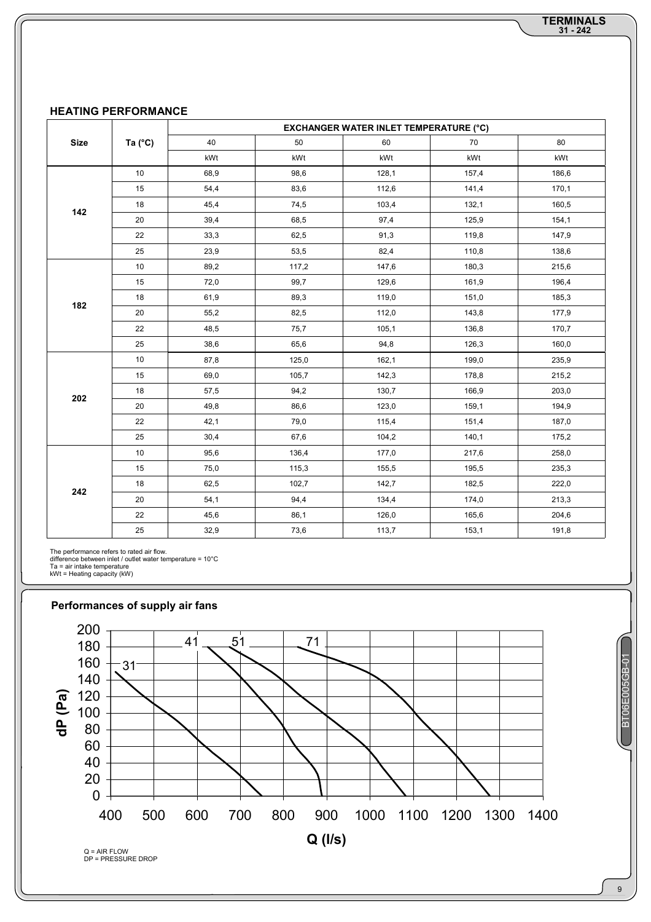#### **HEATING PERFORMANCE**

|             |                  |      |       | <b>EXCHANGER WATER INLET TEMPERATURE (°C)</b> |       |       |
|-------------|------------------|------|-------|-----------------------------------------------|-------|-------|
| <b>Size</b> | Ta $(^{\circ}C)$ | 40   | 50    | 60                                            | 70    | 80    |
|             |                  | kWt  | kWt   | kWt                                           | kWt   | kWt   |
|             | 10               | 68,9 | 98,6  | 128,1                                         | 157,4 | 186,6 |
|             | 15               | 54,4 | 83,6  | 112,6                                         | 141,4 | 170,1 |
| 142         | 18               | 45,4 | 74,5  | 103,4                                         | 132,1 | 160,5 |
|             | 20               | 39,4 | 68,5  | 97,4                                          | 125,9 | 154,1 |
|             | 22               | 33,3 | 62,5  | 91,3                                          | 119,8 | 147,9 |
|             | 25               | 23,9 | 53,5  | 82,4                                          | 110,8 | 138,6 |
|             | 10               | 89,2 | 117,2 | 147,6                                         | 180,3 | 215,6 |
|             | 15               | 72,0 | 99,7  | 129,6                                         | 161,9 | 196,4 |
|             | 18               | 61,9 | 89,3  | 119,0                                         | 151,0 | 185,3 |
| 182         | 20               | 55,2 | 82,5  | 112,0                                         | 143,8 | 177,9 |
|             | 22               | 48,5 | 75,7  | 105,1                                         | 136,8 | 170,7 |
|             | 25               | 38,6 | 65,6  | 94,8                                          | 126,3 | 160,0 |
|             | 10               | 87,8 | 125,0 | 162,1                                         | 199,0 | 235,9 |
|             | 15               | 69,0 | 105,7 | 142,3                                         | 178,8 | 215,2 |
| 202         | 18               | 57,5 | 94,2  | 130,7                                         | 166,9 | 203,0 |
|             | 20               | 49,8 | 86,6  | 123,0                                         | 159,1 | 194,9 |
|             | 22               | 42,1 | 79,0  | 115,4                                         | 151,4 | 187,0 |
|             | 25               | 30,4 | 67,6  | 104,2                                         | 140,1 | 175,2 |
|             | 10               | 95,6 | 136,4 | 177,0                                         | 217,6 | 258,0 |
|             | 15               | 75,0 | 115,3 | 155,5                                         | 195,5 | 235,3 |
| 242         | 18               | 62,5 | 102,7 | 142,7                                         | 182,5 | 222,0 |
|             | 20               | 54,1 | 94,4  | 134,4                                         | 174,0 | 213,3 |
|             | 22               | 45,6 | 86,1  | 126,0                                         | 165,6 | 204,6 |
|             | 25               | 32,9 | 73,6  | 113,7                                         | 153,1 | 191,8 |

The performance refers to rated air flow.<br>difference between inlet / outlet water temperature = 10°C<br>Ta = air intake temperature<br>KWt = Heating capacity (kW)



BT06E005GB-01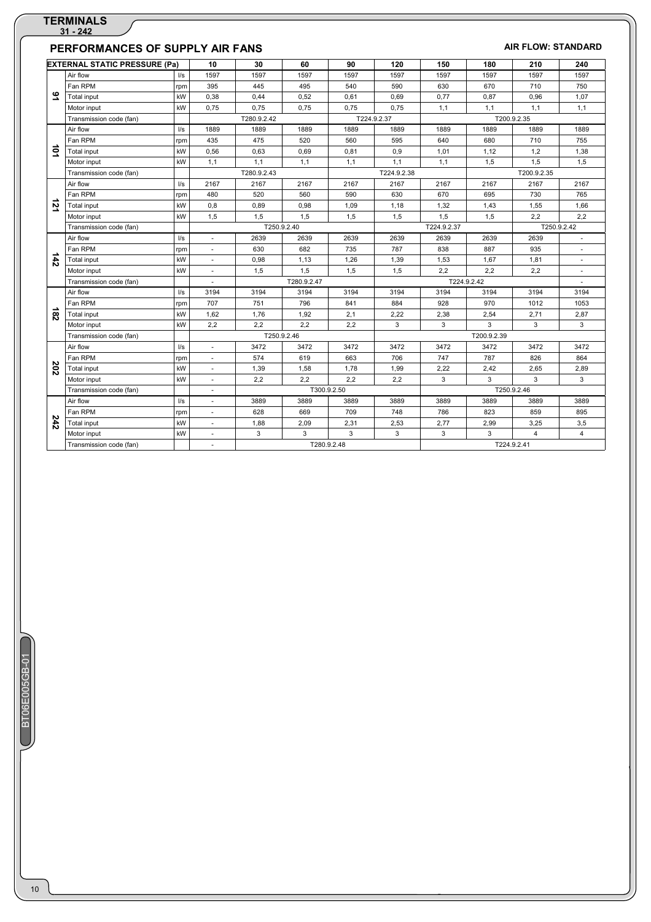#### **PERFORMANCES OF SUPPLY AIR FANS** *AIR FLOW: STANDARD* **EXTERNAL STATIC PRESSURE (Pa) 10 30 60 90 120 150 180 210 240 91**  Air flow l/s 1597 1597 1597 1597 1597 1597 1597 1597 1597 Fan RPM |rpm | 395 | 445 | 495 | 540 | 590 | 630 | 670 | 710 | 750 Total input kW 0,38 0,44 0,52 0,61 0,69 0,77 0,87 0,96 1,07 1,1 | 1,1 | 1,1 | 1,1 | 1,1 | 1,1 | 1,1 | 1,1 | 1,1 | 1,1 | 1,1 | 1,1 | 1,1 | 1,1 Transmission code (fan) | T280.9.2.42 T224.9.2.37 | T200.9.2.35 **101**  Air flow l/s 1889 1889 1889 1889 1889 1889 1889 1889 1889 Fan RPM |rpm | 435 | 475 | 520 | 560 | 595 | 640 | 680 | 710 | 755 Total input | kW | 0,56 | 0,63 | 0,69 | 0,81 | 0,9 | 1,01 | 1,12 | 1,2 | 1,38 1,5 | 1,5 | 1,6 | 1,7 | 1,1 | 1,1 | 1,1 | 1,1 | 1,1 | 1,5 | 1,5 Transmission code (fan) T280.9.2.43 T224.9.2.38 T200.9.2.35 **121**  Air flow | I/s | 2167 | 2167 | 2167 | 2167 | 2167 | 2167 | 2167 | 2167 Fan RPM |rpm | 480 | 520 | 560 | 590 | 630 | 670 | 695 | 730 | 765 Total input | kW | 0,8 | 0,89 | 0,98 | 1,09 | 1,18 | 1,32 | 1,43 | 1,55 | 1,66 4.0 1,5 | 1,5 | 1,5 | 1,5 | 1,5 | 1,5 | 1,5 | 1,5 | 2,2 | 2,2 | 2,2 Transmission code (fan) T250.9.2.40 T224.9.2.37 T250.9.2.42  $\frac{4}{3}$ Air flow | I/s | - | 2639 | 2639 | 2639 | 2639 | 2639 | 2639 | -Fan RPM |rpm | - | 630 | 682 | 735 | 787 | 838 | 887 | 935 | -- | 1,81 | - | 1,98 | 1,13 | 1,26 | 1,39 | 1,53 | 1,67 | 1,81 | -- 1,5 | 1,5 | 1,5 | 1,5 | 2,2 | 2,2 | 2,2 | - 1,5 | 2,2 | - 1,5 | 2,2 | - 1,5 | 2,2 | -Transmission code (fan) - T280.9.2.47 T224.9.2.42 - **182**  Air flow | I/s | 3194 | 3194 | 3194 | 3194 | 3194 | 3194 | 3194 | 3194 Fan RPM |rpm | 707 | 751 | 796 | 841 | 884 | 928 | 970 | 1012 | 1053 Total input kW 1,62 1,76 1,92 2,1 2,22 2,38 2,54 2,71 2,87 Motor input |kW | 2,2 | 2,2 | 2,2 | 3 | 3 | 3 | 3 | 3 | 3 Transmission code (fan) T250.9.2.46 T250.9.2.46 T250.9.2.46 T200.9.2.39 Air flow | I/s | - | 3472 | 3472 | 3472 | 3472 | 3472 | 3472 | 3472 | Fan RPM rpm | - | 574 | 619 | 663 | 706 | 747 | 787 | 826 | 864

Total input | kW | - 1,39 | 1,58 | 1,78 | 1,99 | 2,22 | 2,42 | 2,65 | 2,89 Motor input |kW | - 2,2 | 2,2 | 2,2 | 3 | 3 | 3 | 3 | 3

Air flow | I/s | - | 3889 | 3889 | 3889 | 3889 | 3889 | 3889 | 3889 Fan RPM rpm | - | 628 | 669 | 709 | 748 | 786 | 823 | 859 | 895 Total input | kW | - | 1,88 | 2,09 | 2,31 | 2,53 | 2,77 | 2,99 | 3,25 | 3,5 Motor input kW - 3 3 3 3 3 3 4 4

Transmission code (fan) 1250.9.2.46

Transmission code (fan) 1224.9.2.41 T280.9.2.48 T280.9.2.48 T280.9.2.48 T280.9.2.41

BT06E005GB-01

**202**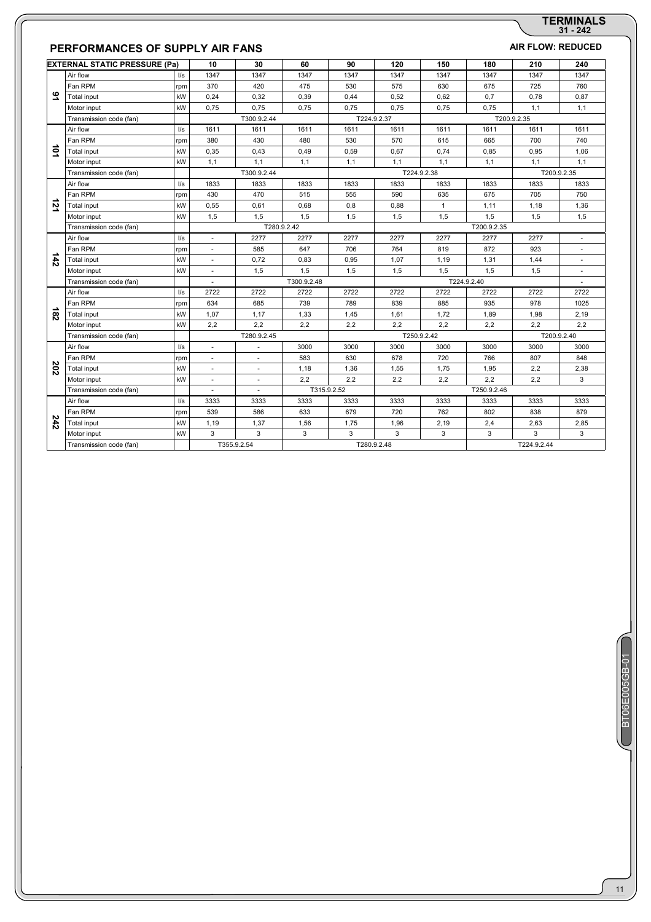# **31 - 242 TERMINALS**

## **PERFORMANCES OF SUPPLY AIR FANS** *AIR FLOW: REDUCED*

|                | <b>EXTERNAL STATIC PRESSURE (Pa)</b> |               | 10                       | 30          | 60          | 90          | 120         | 150          | 180         | 210         | 240         |
|----------------|--------------------------------------|---------------|--------------------------|-------------|-------------|-------------|-------------|--------------|-------------|-------------|-------------|
|                | Air flow                             | $\sqrt{s}$    | 1347                     | 1347        | 1347        | 1347        | 1347        | 1347         | 1347        | 1347        | 1347        |
|                | Fan RPM                              | rpm           | 370                      | 420         | 475         | 530         | 575         | 630          | 675         | 725         | 760         |
| ي              | Total input                          | kW            | 0,24                     | 0,32        | 0,39        | 0,44        | 0,52        | 0.62         | 0,7         | 0,78        | 0,87        |
|                | Motor input                          | kW            | 0,75                     | 0,75        | 0,75        | 0,75        | 0,75        | 0,75         | 0,75        | 1,1         | 1,1         |
|                | Transmission code (fan)              |               |                          | T300.9.2.44 |             |             | T224.9.2.37 |              |             | T200.9.2.35 |             |
|                | Air flow                             | l/s           | 1611                     | 1611        | 1611        | 1611        | 1611        | 1611         | 1611        | 1611        | 1611        |
|                | Fan RPM                              | rpm           | 380                      | 430         | 480         | 530         | 570         | 615          | 665         | 700         | 740         |
| iot            | <b>Total input</b>                   | kW            | 0,35                     | 0.43        | 0.49        | 0.59        | 0.67        | 0.74         | 0.85        | 0.95        | 1.06        |
|                | Motor input                          | kW            | 1,1                      | 1,1         | 1,1         | 1,1         | 1.1         | 1.1          | 1,1         | 1,1         | 1,1         |
|                | Transmission code (fan)              |               |                          | T300.9.2.44 |             |             |             | T224.9.2.38  |             |             | T200.9.2.35 |
|                | Air flow                             | $\frac{1}{s}$ | 1833                     | 1833        | 1833        | 1833        | 1833        | 1833         | 1833        | 1833        | 1833        |
|                | Fan RPM                              | rpm           | 430                      | 470         | 515         | 555         | 590         | 635          | 675         | 705         | 750         |
| $\overline{2}$ | Total input                          | kW            | 0,55                     | 0,61        | 0,68        | 0,8         | 0,88        | $\mathbf{1}$ | 1,11        | 1,18        | 1,36        |
|                | Motor input                          | kW            | 1,5                      | 1,5         | 1,5         | 1,5         | 1,5         | 1,5          | 1,5         | 1,5         | 1,5         |
|                | Transmission code (fan)              |               |                          |             | T280.9.2.42 |             |             |              | T200.9.2.35 |             |             |
|                | Air flow                             | $\sqrt{s}$    | $\sim$                   | 2277        | 2277        | 2277        | 2277        | 2277         | 2277        | 2277        |             |
|                | Fan RPM                              | rpm           | $\overline{\phantom{a}}$ | 585         | 647         | 706         | 764         | 819          | 872         | 923         |             |
| ∸<br>42        | Total input                          | kW            | ×.                       | 0,72        | 0,83        | 0,95        | 1,07        | 1,19         | 1,31        | 1,44        |             |
|                | Motor input                          | kW            | ÷.                       | 1,5         | 1,5         | 1,5         | 1,5         | 1,5          | 1,5         | 1,5         |             |
|                | Transmission code (fan)              |               |                          |             | T300.9.2.48 |             |             |              | T224.9.2.40 |             |             |
|                | Air flow                             | $\sqrt{s}$    | 2722                     | 2722        | 2722        | 2722        | 2722        | 2722         | 2722        | 2722        | 2722        |
|                | Fan RPM                              | rpm           | 634                      | 685         | 739         | 789         | 839         | 885          | 935         | 978         | 1025        |
| $\overline{8}$ | Total input                          | kW            | 1,07                     | 1.17        | 1.33        | 1,45        | 1.61        | 1.72         | 1,89        | 1.98        | 2,19        |
|                | Motor input                          | kW            | 2,2                      | 2,2         | 2.2         | 2.2         | 2.2         | 2.2          | 2,2         | 2,2         | 2.2         |
|                | Transmission code (fan)              |               |                          | T280.9.2.45 |             |             |             | T250.9.2.42  |             |             | T200.9.2.40 |
|                | Air flow                             | 1/s           | $\sim$                   |             | 3000        | 3000        | 3000        | 3000         | 3000        | 3000        | 3000        |
|                | Fan RPM                              | rpm           | ×.                       |             | 583         | 630         | 678         | 720          | 766         | 807         | 848         |
| 202            | Total input                          | kW            | ä,                       |             | 1,18        | 1,36        | 1,55        | 1,75         | 1,95        | 2,2         | 2,38        |
|                | Motor input                          | kW            | ä,                       |             | 2,2         | 2,2         | 2,2         | 2,2          | 2,2         | 2,2         | 3           |
|                | Transmission code (fan)              |               |                          |             |             | T315.9.2.52 |             |              | T250.9.2.46 |             |             |
|                | Air flow                             | $\sqrt{s}$    | 3333                     | 3333        | 3333        | 3333        | 3333        | 3333         | 3333        | 3333        | 3333        |
|                | Fan RPM                              | rpm           | 539                      | 586         | 633         | 679         | 720         | 762          | 802         | 838         | 879         |
| 242            | Total input                          | kW            | 1,19                     | 1,37        | 1,56        | 1,75        | 1,96        | 2,19         | 2,4         | 2,63        | 2,85        |
|                | Motor input                          | kW            | 3                        | 3           | 3           | 3           | 3           | 3            | 3           | 3           | 3           |
|                | Transmission code (fan)              |               |                          | T355.9.2.54 |             |             | T280.9.2.48 |              |             | T224.9.2.44 |             |
|                |                                      |               |                          |             |             |             |             |              |             |             |             |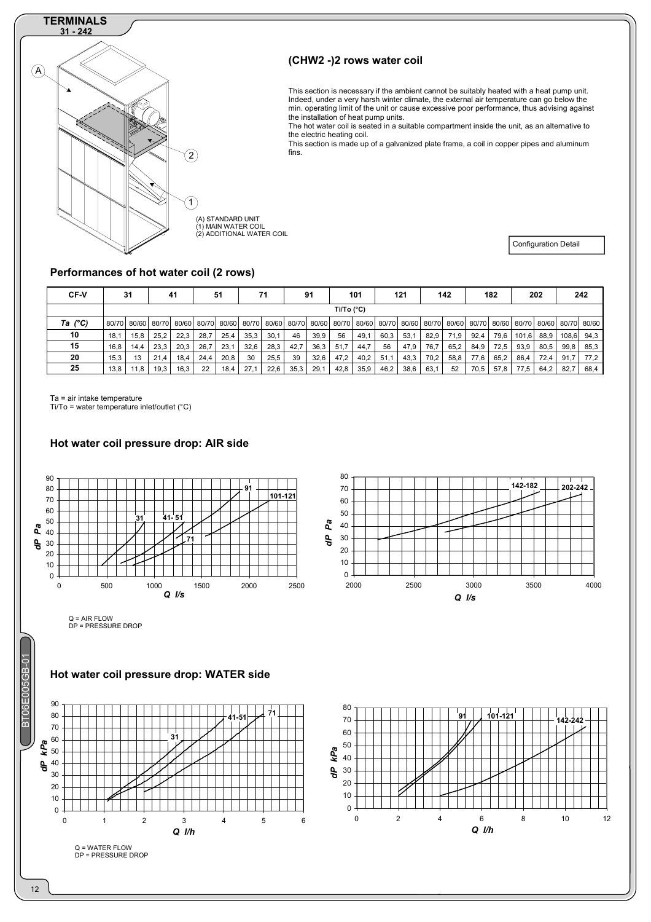## **TERMINALS**



## **(CHW2 -)2 rows water coil**

This section is necessary if the ambient cannot be suitably heated with a heat pump unit. Indeed, under a very harsh winter climate, the external air temperature can go below the min. operating limit of the unit or cause excessive poor performance, thus advising against the installation of heat pump units.

The hot water coil is seated in a suitable compartment inside the unit, as an alternative to the electric heating coil.

This section is made up of a galvanized plate frame, a coil in copper pipes and aluminum fins.

(A) STANDARD UNIT (1) MAIN WATER COIL (2) ADDITIONAL WATER COIL

Configuration Detail

## **Performances of hot water coil (2 rows)**

| <b>CF-V</b>      |       | 31   |             | 41    |       | 51    |      | 71          |       | 91    |            | 101  |                   | 121  |      | 142         |       | 182   |       | 202  |             | 242   |
|------------------|-------|------|-------------|-------|-------|-------|------|-------------|-------|-------|------------|------|-------------------|------|------|-------------|-------|-------|-------|------|-------------|-------|
|                  |       |      |             |       |       |       |      |             |       |       | Ti/To (°C) |      |                   |      |      |             |       |       |       |      |             |       |
| Ta $(^{\circ}C)$ | 80/70 |      | 80/60 80/70 | 80/60 | 80/70 | 80/60 |      | 80/70 80/60 | 80/70 | 80/60 | 80/70      |      | 80/60 80/70 80/60 |      |      | 80/70 80/60 | 80/70 | 80/60 | 80/70 |      | 80/60 80/70 | 80/60 |
| 10               | 18,1  | 15,8 | 25,2        | 22,3  | 28.7  | 25,4  | 35,3 | 30,1        | 46    | 39,9  | 56         | 49,1 | 60,3              | 53,1 | 82,9 | 71,9        | 92,4  | 79,6  | 101,6 | 88,9 | 108,6       | 94,3  |
| 15               | 16,8  | 14,4 | 23,3        | 20,3  | 26,7  | 23,1  | 32,6 | 28,3        | 42.7  | 36,3  | 51.7       | 44,7 | 56                | 47,9 | 76,7 | 65,2        | 84,9  | 72,5  | 93,9  | 80,5 | 99,8        | 85,3  |
| 20               | 15.3  | 13   | 21<br>.4    | 18,4  | 24,4  | 20,8  | 30   | 25,5        | 39    | 32,6  | 47.2       | 40,2 | 51.1              | 43,3 | 70,2 | 58,8        | 77,6  | 65,2  | 86,4  | 72,4 | 91,7        | 77.2  |
| 25               | 13,8  | 11,8 | 19,3        | 16,3  | 22    | 18,4  | 27.7 | 22,6        | 35,3  | 29.7  | 42,8       | 35,9 | 46,2              | 38,6 | 63,1 | 52          | 70,5  | 57,8  | 77,5  | 64,2 | 82,7        | 68,4  |

Ta = air intake temperature

Ti/To = water temperature inlet/outlet (°C)

**Hot water coil pressure drop: AIR side** 



Q = WATER FLOW DP = PRESSURE DROP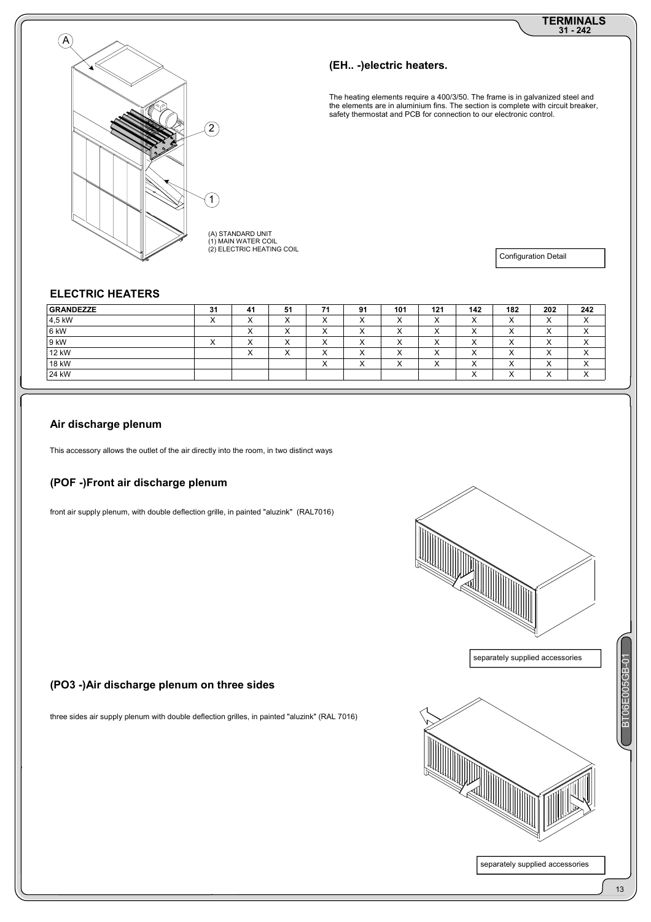# **31 - 242 TERMINALS**



### **(EH.. -)electric heaters.**

The heating elements require a 400/3/50. The frame is in galvanized steel and the elements are in aluminium fins. The section is complete with circuit breaker, safety thermostat and PCB for connection to our electronic control.

(A) STANDARD UNIT<br>(1) MAIN WATER COIL<br>(2) ELECTRIC HEATING COIL

Configuration Detail

## **ELECTRIC HEATERS**

| <b>GRANDEZZE</b> | 31                     | -41       | 51                   | 74        | 91                        | 101                  | 121                  | 142       | 182                       | 202                 | 242                       |
|------------------|------------------------|-----------|----------------------|-----------|---------------------------|----------------------|----------------------|-----------|---------------------------|---------------------|---------------------------|
| 4,5 kW           | $\checkmark$<br>$\sim$ |           | $\cdot$<br>$\lambda$ | $\lambda$ | $\lambda$<br>$\lambda$    | $\cdot$<br>$\lambda$ | $\cdot$<br>$\lambda$ | $\lambda$ | $\sqrt{}$<br>$\lambda$    | $\sqrt{}$<br>$\sim$ | $\sqrt{}$<br>$\lambda$    |
| 6 kW             |                        | $\lambda$ | $\lambda$            | $\lambda$ | $\lambda$<br>$\lambda$    | $\lambda$            | $\lambda$            | $\lambda$ | $\checkmark$<br>$\sim$    | $\sqrt{}$<br>$\sim$ | $\checkmark$<br>$\lambda$ |
| 9 kW             | x.<br>⌒                |           | $\cdot$<br>⌒         |           | $\lambda$<br>$\lambda$    | $\lambda$            | ۰.<br>$\lambda$      | $\lambda$ | $\cdot$<br>$\sim$         | $\sqrt{}$<br>$\sim$ | $\lambda$<br>$\lambda$    |
| 12 kW            |                        |           | $\cdot$<br>⌒         |           | $\checkmark$<br>$\lambda$ | $\lambda$            | ۰.<br>$\lambda$      | $\lambda$ | `<br>$\lambda$            | $\sqrt{}$<br>$\sim$ | $\sqrt{}$<br>$\lambda$    |
| 18 kW            |                        |           |                      | $\lambda$ | $\cdot$<br>$\lambda$      | $\lambda$            | ۰.<br>$\lambda$      | $\lambda$ | $\checkmark$<br>$\lambda$ | v<br>$\sim$         | $\cdot$<br>$\lambda$      |
| 24 kW            |                        |           |                      |           |                           |                      |                      | $\lambda$ | $\checkmark$<br>$\lambda$ | v<br>⌒              | $\lambda$<br>$\lambda$    |

## **Air discharge plenum**

This accessory allows the outlet of the air directly into the room, in two distinct ways

#### **(POF -)Front air discharge plenum**

front air supply plenum, with double deflection grille, in painted "aluzink" (RAL7016)



separately supplied accessories

## **(PO3 -)Air discharge plenum on three sides**

three sides air supply plenum with double deflection grilles, in painted "aluzink" (RAL 7016)



BT06E005GB-01

6E005GB-01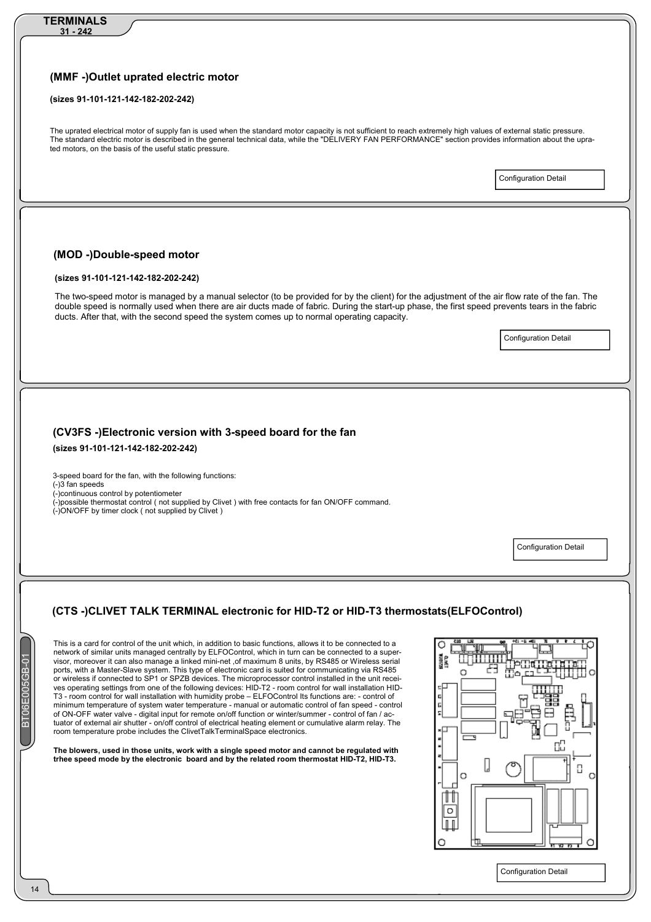| (sizes 91-101-121-142-182-202-242)                                                                                                                                                                                                                                                                                                                                                             |                             |
|------------------------------------------------------------------------------------------------------------------------------------------------------------------------------------------------------------------------------------------------------------------------------------------------------------------------------------------------------------------------------------------------|-----------------------------|
| The uprated electrical motor of supply fan is used when the standard motor capacity is not sufficient to reach extremely high values of external static pressure.<br>The standard electric motor is described in the general technical data, while the "DELIVERY FAN PERFORMANCE" section provides information about the upra-<br>ted motors, on the basis of the useful static pressure.      |                             |
|                                                                                                                                                                                                                                                                                                                                                                                                | <b>Configuration Detail</b> |
|                                                                                                                                                                                                                                                                                                                                                                                                |                             |
| (MOD -)Double-speed motor                                                                                                                                                                                                                                                                                                                                                                      |                             |
| (sizes 91-101-121-142-182-202-242)                                                                                                                                                                                                                                                                                                                                                             |                             |
| The two-speed motor is managed by a manual selector (to be provided for by the client) for the adjustment of the air flow rate of the fan. The<br>double speed is normally used when there are air ducts made of fabric. During the start-up phase, the first speed prevents tears in the fabric<br>ducts. After that, with the second speed the system comes up to normal operating capacity. |                             |
|                                                                                                                                                                                                                                                                                                                                                                                                | <b>Configuration Detail</b> |
|                                                                                                                                                                                                                                                                                                                                                                                                |                             |
|                                                                                                                                                                                                                                                                                                                                                                                                |                             |
|                                                                                                                                                                                                                                                                                                                                                                                                |                             |
|                                                                                                                                                                                                                                                                                                                                                                                                |                             |
| (CV3FS -)Electronic version with 3-speed board for the fan<br>(sizes 91-101-121-142-182-202-242)                                                                                                                                                                                                                                                                                               |                             |
| 3-speed board for the fan, with the following functions:<br>(-)3 fan speeds<br>(-)continuous control by potentiometer<br>(-)possible thermostat control (not supplied by Clivet) with free contacts for fan ON/OFF command.<br>(-)ON/OFF by timer clock (not supplied by Clivet)                                                                                                               |                             |
|                                                                                                                                                                                                                                                                                                                                                                                                |                             |

This is a card for control of the unit which, in addition to basic functions, allows it to be connected to a network of similar units managed centrally by ELFOControl, which in turn can be connected to a supervisor, moreover it can also manage a linked mini-net ,of maximum 8 units, by RS485 or Wireless serial ports, with a Master-Slave system. This type of electronic card is suited for communicating via RS485 or wireless if connected to SP1 or SPZB devices. The microprocessor control installed in the unit receives operating settings from one of the following devices: HID-T2 - room control for wall installation HID-T3 - room control for wall installation with humidity probe – ELFOControl Its functions are: - control of minimum temperature of system water temperature - manual or automatic control of fan speed - control of ON-OFF water valve - digital input for remote on/off function or winter/summer - control of fan / actuator of external air shutter - on/off control of electrical heating element or cumulative alarm relay. The room temperature probe includes the ClivetTalkTerminalSpace electronics.

**The blowers, used in those units, work with a single speed motor and cannot be regulated with trhee speed mode by the electronic board and by the related room thermostat HID-T2, HID-T3.** 

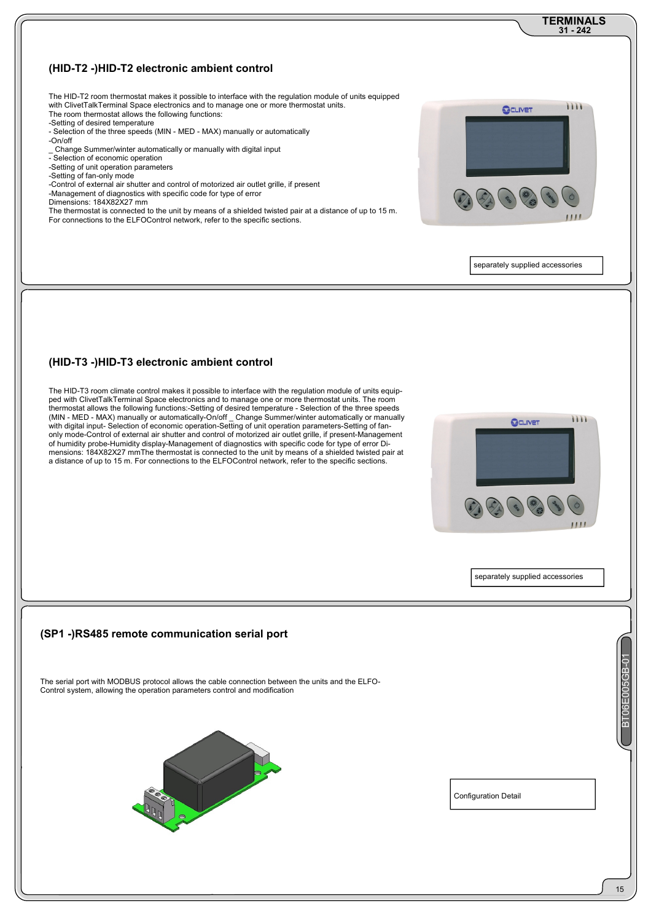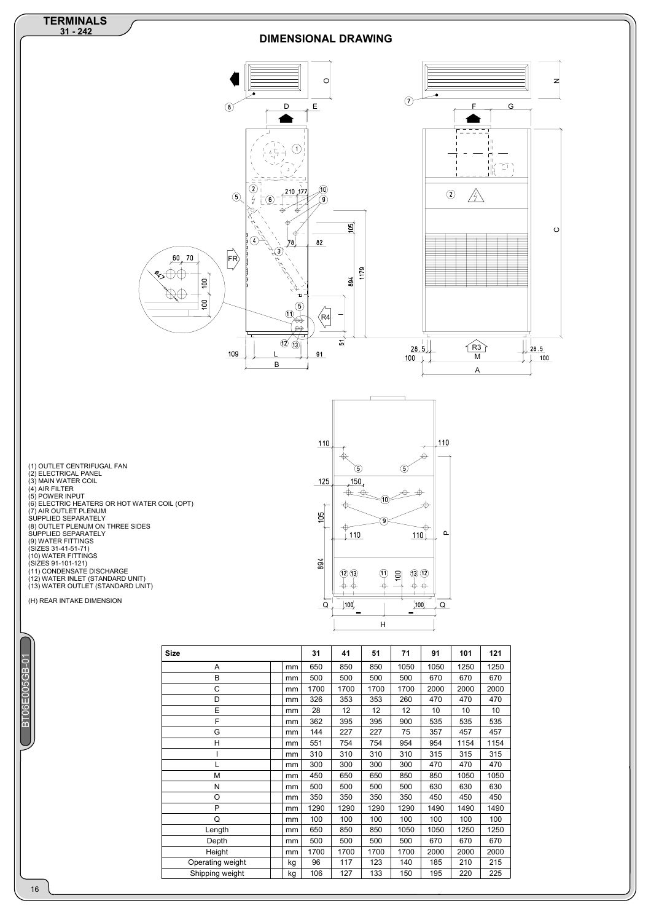

| ı      |  |
|--------|--|
|        |  |
|        |  |
|        |  |
|        |  |
|        |  |
|        |  |
|        |  |
|        |  |
|        |  |
|        |  |
|        |  |
| ٠<br>٠ |  |
|        |  |
|        |  |

| <b>Size</b>      |    | 31   | 41   | 51   | 71   | 91   | 101  | 121  |
|------------------|----|------|------|------|------|------|------|------|
| A                | mm | 650  | 850  | 850  | 1050 | 1050 | 1250 | 1250 |
| B                | mm | 500  | 500  | 500  | 500  | 670  | 670  | 670  |
| C                | mm | 1700 | 1700 | 1700 | 1700 | 2000 | 2000 | 2000 |
| D                | mm | 326  | 353  | 353  | 260  | 470  | 470  | 470  |
| E                | mm | 28   | 12   | 12   | 12   | 10   | 10   | 10   |
| F                | mm | 362  | 395  | 395  | 900  | 535  | 535  | 535  |
| G                | mm | 144  | 227  | 227  | 75   | 357  | 457  | 457  |
| H                | mm | 551  | 754  | 754  | 954  | 954  | 1154 | 1154 |
|                  | mm | 310  | 310  | 310  | 310  | 315  | 315  | 315  |
| L                | mm | 300  | 300  | 300  | 300  | 470  | 470  | 470  |
| M                | mm | 450  | 650  | 650  | 850  | 850  | 1050 | 1050 |
| N                | mm | 500  | 500  | 500  | 500  | 630  | 630  | 630  |
| O                | mm | 350  | 350  | 350  | 350  | 450  | 450  | 450  |
| P                | mm | 1290 | 1290 | 1290 | 1290 | 1490 | 1490 | 1490 |
| Q                | mm | 100  | 100  | 100  | 100  | 100  | 100  | 100  |
| Length           | mm | 650  | 850  | 850  | 1050 | 1050 | 1250 | 1250 |
| Depth            | mm | 500  | 500  | 500  | 500  | 670  | 670  | 670  |
| Height           | mm | 1700 | 1700 | 1700 | 1700 | 2000 | 2000 | 2000 |
| Operating weight | kg | 96   | 117  | 123  | 140  | 185  | 210  | 215  |
| Shipping weight  | kg | 106  | 127  | 133  | 150  | 195  | 220  | 225  |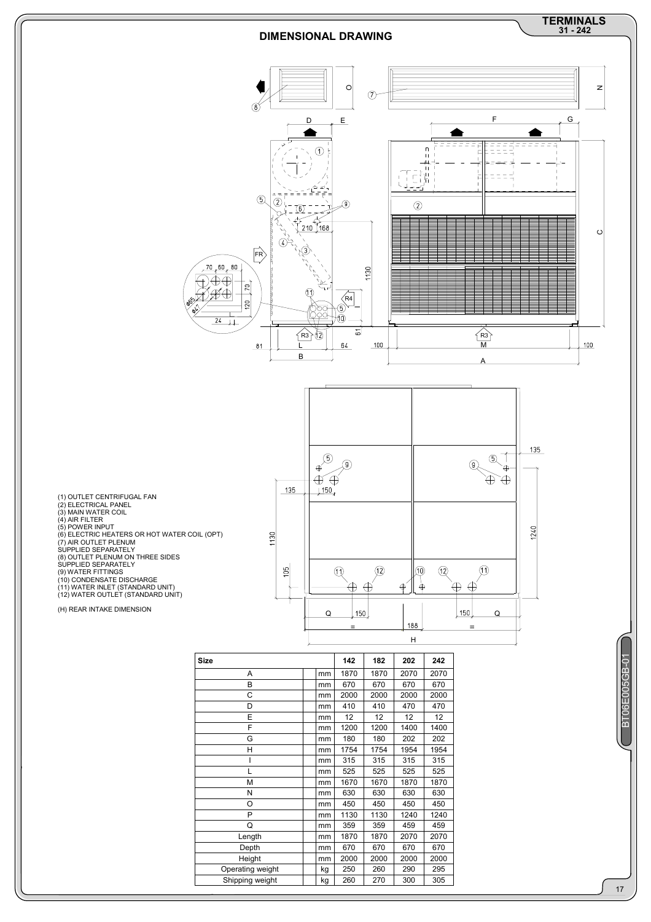

L 1 | 1 | 1 | 1 | 1 | 1 | 525 | 525 | 525 | 525 | 525 | 525 | 525 | 525 | 525 | 525 | 525 | 525 | 525 | 525 | M mm 1670 1670 1870 1870 N | |mm | 630 | 630 | 630 | 630 O mm 450 450 450 450 P mm 1130 1130 1240 1240 Q mm 359 359 459 459 Length mm 1870 1870 2070 2070 Depth mm 670 670 670 670 Height mm 2000 2000 2000 2000 Operating weight <br>
Shipping weight kg 260 270 300 305 Shipping weight **kg** 260 270 300